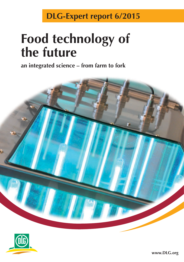## **DLG-Expert report 6/2015**

# **Food technology of the future**

**an integrated science – from farm to fork**



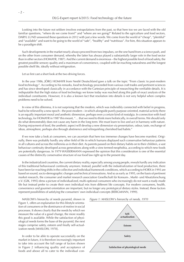Looking into the future not seldom involves extrapolations from the past, so that here too we are faced with the old familiar questions, "where do we come from?" and "where are we going?" Related to the agriculture and food sectors, DARYL LUND answered these questions in 2012 with just a few words. We come from the world of "cheap", "plentiful" and "available" and want to be going to the world of "safe", "healthy" and "nutritious". For him, this situation appears to be a paradigm shift.

Such developments in the market nearly always proceed from two impulses, on the one hand from a science push, and on the other from consumer demand, whereby the latter has always played a substantially larger role in the food sector than in other sectors (HOMAYR, 1987). And the current demand is enormous – the highest possible level of food safety, the greatest possible sensory quality and a maximum of convenience, coupled with far-reaching naturalness and the longest possible shelf life, ideally without refrigeration.

Let us first cast a short look at the two driving forces.

In the year 1986, JÖRG HOMAYR from Nestlé Deutschland gave a talk on the topic "From classic to post-modern food technology". According to his remarks, food technology proceeded from various craft trades and pertinent sciences and has since developed classically in accordance with the Cartesian principle of researching the verifiable details. It is indisputable that the high status of food technology we know today was reached along this path of exact analysis of the individual constituents. However, it is also a known fact that resolution into details is not very helpful when complex problems need to be solved.

In view of this dilemma, it is not surprising that the modern, which was indivisibly connected with belief in progress, had to be relieved by a new epoch – the post-modern – in which alongside purely purpose-oriented, material activity there is an equally important moral and aesthetic dimension, perhaps even a certain kind of nostalgia. In connection with food technology, for HOMAYR in 1987 this meant, "… that we need to think more holistically, in overall terms. We should only do what demonstrably does not cause any harm in the long term. We must learn to live and act in harmony with nature. During enjoyment of food, the aesthetic aspect will develop a new dimension via presentation, odour, taste, exchange of ideas, atmosphere, perhaps also through abstinence and relinquishing cherished bad habits."

If we now take a look at consumers, we can ascertain that here too immense changes have become manifest. Originally, there was probably hardly any other field of life in which humans displayed such conservative behaviour patterns in all cultures and across the millennia as in their diet. As parents passed on their dietary habits on to their children, a vast behaviour continuity developed across generations along with a view termed neophobia, according to which new foods are potentially dangerous. In 1979 WASSERMANN expressed the opinion that this consideration is one of the essential causes of the distinctly conservative structure of our food law right up to the present day.

In the industrialized countries, the current dietary reality, especially among young people, reveals hardly any indication of this traditional behavioural continuity anymore. Instead, parallel with the industrialization of food production, there have been far-reaching shifts in the collective and individual framework conditions, which according to HORX in 1993 are based on sound, socio-demographic changes and technical innovations. And so as early as 1995, on the basis of pertinent market research, the consumer and market research association Gesellschaft für Konsum-, Markt- und Absatzforschung e.V. [GfK, 1995] drew a picture of individualized, multi-optional consumers who increasingly do not want a ready-made life but instead prefer to create their own individual mix from different life concepts. For modern consumers, health, convenience and gourmet orientation are important, but no longer any prototypical dietary styles. Instead, these factors represent possibilities of satisfying the consumers' own individual concepts [BERGMANN, 1999].

MASLOW's hierarchy of needs pyramid, shown in Figure 1, offers an explanation for this lifestyle orientation of consumers or the dominance of motive in social processes. It shows clearly that the needs by which we measure the value of a good change, the more readily this good is available. While the satisfaction of physiological needs forms the base of the pyramid, the next stages comprise safety, esteem and finally self-actualization needs [MASLOW, 1970].

In order to be able to operate successfully on the market in future, it is therefore increasingly important to take into account the full range of factors shown in Figure 2 influencing quality and acceptance of foods and above all to cater to the individual con-

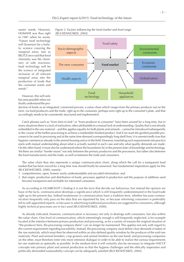sumer needs. However, HOMAYR was thus right in 1987 when he wrote, "Future food technology will (however) be a holistic science covering the marginal areas. Just as BELITZ once said that food chemistry was the chemistry of side reactions, food technology will be the science of integrated inclusion of all relevant marginal areas into the production of foods that the consumer wants and needs."

However, this will only become possible when we finally understand the pro-





duction of foods as an integrated, connected process, a value chain which ranges from the primary producer out on the farm, via food producers and the trade, right up to the consumer, perhaps even right up to the consumer's plate, and that accordingly needs to be consistently structured and implemented.

Catch phrases such as "from farm to fork" or "from producer to consumer" have been around for a long time, but in many situations there is a lack of realization, often attributable to a mutual lack of understanding. Quality that is not already embedded in the raw material – and this applies equally for both plants and animals – cannot be introduced subsequently in the course of the further processing to achieve a marketable finished product. And if we want the gentlest possible processes to be used in processing and at the same time demand correspondingly long shelf lives, it is unrestrictedly true that hygiene commences already in the animal housing unit or in the field. However, translating such requirements into practice starts with mutual understanding about what is actually wanted in each case and why what quality demands are made. On the other hand, it must also be understood where the boundaries lie in the present state of knowledge and technology. Yet there are similar "border issues" not only between the primary producers and the processors, but rather also between the food manufacturers and the trade, as well as between the trade and consumers.

The value chain thus also represents a unique communication chain, along which the call for a transparent food market that has been voiced for a long time now should finally be answered. Two fundamental imperatives apply for this (BUCKENHÜSKES, 2000), namely:

- 1. comprehensive, open, honest, easily understandable and uncoded information, and
- 2. that origin, production and distribution of foods, processes applied in production and the purpose of additives used become transparent and verifiable for interested consumers.

As according to HUMBOLDT´s finding it is not the facts that decide our behaviour, but instead the opinion we have of the facts, communication develops a significance which is still frequently underestimated in the food trade right up to the present day. Indeed weaknesses in communication have a tradition here, whether because communicators frequently only pass on the data that are stipulated by law, or because informing consumers is preferably left to self-appointed experts, or because in advertising traditional procedures are suggested to consumers, although highly technical processes are in fact used [BUCKENHÜSKES, 2000].

As already indicated, however, communication is necessary not only in dealings with consumers, but also within the value chain. One level of communication, which interestingly enough is still frequently neglected, is for example located at the interface between primary production and processing, as for a variety of reasons the original situation of "the producer here, the processing company there" can no longer be maintained. This applies not only with regard to the current requirement regarding traceability. Instead, the processing company must define clear demands it makes of the raw materials, which must then be observed within an also defined quality window by the producer of the said raw materials. Plant and animal breeders, crop growers and animal finishers on the one hand, and processing companies on the other, must therefore enter into more intensive dialogue in order to be able to realize the various requirements for raw materials as optimally as possible. In the medium term it will certainly also be necessary to integrate HACCP concepts into primary plant and animal production so that the hygiene challenges and the ethically imperative and politically demanded sustainability concept can be adequately satisfied [BUCKENHÜSKES, 2004].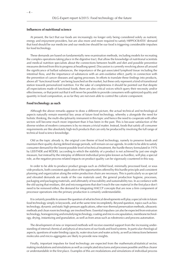#### **Influences of nutritional science**

At present, the fact that our foods are increasingly no longer only being considered solely as nutrient, energy and enjoyment providers, but are also more and more required to satisfy HIPPOCRATES' demand that food should be our medicine and our medicine should be our food is triggering considerable impulses for food technology.

These demands are based on fundamentally new examination methods, including models for recreating the complex operations taking place in the digestive tract, that allow the knowledge of nutritional scientists and medical nutrition specialists about the connections between health and diet and possible preventive measures derived from this to progress at headlong speed. Discussion is currently revolving above all around the significance of ballast substances, the importance of the gut-associated lymphoid tissue including the intestinal flora, and the importance of substances with an anti-oxidative effect, partly in connection with the prevention of cancer diseases and ageing processes. In efforts to translate these findings into products, above all "functional foods" are being launched on the market, but these only represent a kind of transitional station towards personalized nutrition. For the sake of completeness it should be pointed out that despite all expectations made of functional foods, there are also critical voices which query their necessity and/or effectiveness, or that point out that it will never be possible to provide consumers with optimized quality and quantity in food composition, as so far they are not even able to control the calorie component.

#### **Food technology as such**

Although the above remarks appear to draw a different picture, the actual technical and technological aspects naturally remain essential key areas of future food technology, whereby a alongside the need for holistic thinking, the multi-disciplinarity immanent in this topic and hence the need to cooperate with other sectors will become much more important than it has been in the past. This is because satisfaction of the diverse wishes of modern consumers is by no means a trivial matter. Instead, foods that satisfy all consumer requirements are like absolutely high-tech products that can only be produced by involving the full range of technical food science knowledge.

Old as the topic already is, the original core theme of food technology, namely to preserve foods and maintain their quality during defined storage periods, will remain on our agenda. In order to be able to satisfy consumer demand for the lowest possible level of technical treatment, the hurdle theory formulated in 1976 by LEISTNER and RÖDEL (according to which the stability of a product is not achieved by just one single measure, but instead by the interplay of different individual principles known as hurdles), will play a special role, as the negative process-related impacts on product quality can be vigorously countered in this way.

In order to be able to produce product groups such as chilled food, minimally processed food, or sous vide products, both consistent application of the opportunities offered by this hurdle principle and consistent planning and organization along the entire production chain are necessary. This is particularly so as special and elevated demands are made of the raw materials used, the general production hygiene, processes, packaging and packaging materials, and ultimately of traceability and sustainability too. In accordance with the old saying that residues, dirt and microorganisms that don't reach the raw material in the first place don't need to be removed either, the demand for integrating HACCP concepts that are now a firm component of processor operations into the primary production is certainly understandable.

It is certainly possible to answer the question of what technical developments will play a special role in future food technology simply in keywords, and at the same time incompletely. Beyond question, topics such as biotechnology, dynamic and static high-pressure applications, other non-thermal preservation methods, ultrasonic methods and clean room technology are involved here. Essential impulses can also be expected from extrusion technology, homogenizing and emulsifying technology, coating and micro-encapsulation, membrane technology, drying, instantizing and granulation, as well as from areas such as robotronics and process automation.

The development of new or improved methods will receive essential support from the increasing understanding of internal chemical and physical structures of our foods and food systems. In particular rheological aspects, questions of water binding capacity, water structure and water activity, as well as interactions between molecules and micro-aggregates are likely to provide new insights.

Finally, important impulses for food technology are expected from the mathematical/statistical sector, making modulations and simulations as well as complicated structures and processes possible and thus clearer or understandable in the first place. Examples of this are modulations and simulations of individual process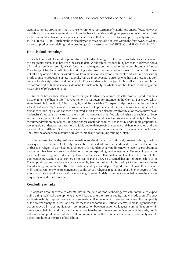steps of complete production lines, or the environmental assessment of material and energy flows. However, models such as neuronal networks also form the basis for understanding the perception of odour and taste and consequently also for developing chemical sensors that can be used for example in quality assurance [MÜLLER et al., 2003]. Such methods also play an increasing role not least within the framework of what is known as predictive modelling and microbiological risk assessment [WHITTING und BUCHANAN, 2001].

#### **Ethics in food technology**

Last but not least, it should be pointed out that food technology in future will have to tackle ethical issues to a far greater extent than has been the case to date. While ethical responsibility has so far addressed above all making a sufficient supply of safe foods available, questions now and in future go substantially further. Knowledge of the globally diminishing drinking water resources alone makes it clear that globalization does not offer any option either for withdrawing from the responsibility for sustainable and resource-conserving production and processing of raw materials. Yes, we must even ask ourselves whether our present-day concepts of food safety and unconditional availability are indeed ethically justifiable at all and for example can be harmonized with the reasonable demand for sustainability, or whether we should not be thinking about new points of reference here too.

One of the basic ethical demands concerning all foods and beverages is that the products produced must be safe in terms of health too. This requirement is set down, for instance, in the German Basic Law, which states in Article 1, Section 1, "Human dignity shall be inviolable. To respect and protect it shall be the duty of all state authority." By "dignity" here we understand both physical and spiritual integrity, from which all the demands of food legislation can then be derived. Even if we can also state with conviction that we have never had such safe foods as we have today, there is still no reason to be satisfied with what has been achieved. Every genuine or supposed food scandal shows that there are possibilities of improving general safety further. And the further development of measuring and analysis methods enables us to identify undesirable properties of raw materials and processes ever more reliably and with increasing accuracy, and then to develop and take measures to avoid theme. Such precautionary or even counter-measures may lie in the organizational sector. They may be of a technical nature or relate to initial and continuing training of staff.

In the context of ethical questions a quite different development can ultimately be seen, although the final consequences of this are not yet really foreseeable. This has to do with demands made of food production that are based in religion or world outlook. Although this is fundamentally nothing new, in recent years substantial momentum has been observed worldwide in the corresponding market segments. The most important of these sectors are organic products, vegetarian products, as well as Kosher and Halal-certified foods. In this connection the reaction of consumers is interesting. In the USA, it is assumed that only about one third of the Kosher products produced are really consumed by Jews. A further third is used by Muslims, whose dietary laws display great similarities. The final third is shared by vegans ("parve" products contain neither meat nor milk) and consumers who are convinced that the strictly religious regulations offer a higher degree of food safety than state specifications and controls can guarantee. And this argument is now being heard ever more frequently outside the USA too.

#### **Concluding remarks**

It appears absolutely safe to assume that in the field of food technology we can continue to expect trail-blazing technical developments that will lead to a further rise in quality, safety, production efficiency and sustainability. It appears substantially more difficult to maintain an overview and assess the complexity of the diverse "marginal areas" and realize these in economically justifiable terms. There is urgent need for action above all in communication – communication between expert colleagues, communication within the product chain from primary production through to the consumer, communication with the trade, public authorities and politicians, but above all communication with consumers too, who we ultimately want to accept and honour the fruits of our labour.